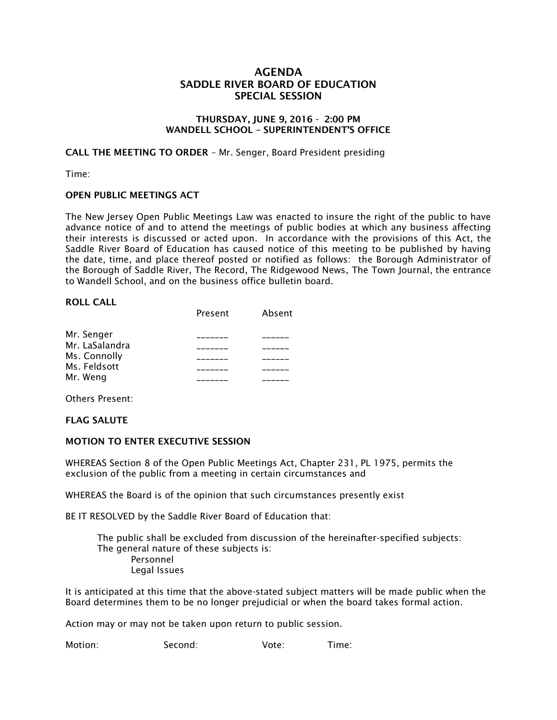# **AGENDA SADDLE RIVER BOARD OF EDUCATION SPECIAL SESSION**

### **THURSDAY, JUNE 9, 2016 - 2:00 PM WANDELL SCHOOL – SUPERINTENDENT'S OFFICE**

**CALL THE MEETING TO ORDER** – Mr. Senger, Board President presiding

Time:

## **OPEN PUBLIC MEETINGS ACT**

The New Jersey Open Public Meetings Law was enacted to insure the right of the public to have advance notice of and to attend the meetings of public bodies at which any business affecting their interests is discussed or acted upon. In accordance with the provisions of this Act, the Saddle River Board of Education has caused notice of this meeting to be published by having the date, time, and place thereof posted or notified as follows: the Borough Administrator of the Borough of Saddle River, The Record, The Ridgewood News, The Town Journal, the entrance to Wandell School, and on the business office bulletin board.

#### **ROLL CALL**

|                | Present | Absent |
|----------------|---------|--------|
| Mr. Senger     |         |        |
| Mr. LaSalandra |         |        |
| Ms. Connolly   |         |        |
| Ms. Feldsott   |         |        |
| Mr. Weng       |         |        |

Others Present:

## **FLAG SALUTE**

## **MOTION TO ENTER EXECUTIVE SESSION**

WHEREAS Section 8 of the Open Public Meetings Act, Chapter 231, PL 1975, permits the exclusion of the public from a meeting in certain circumstances and

WHEREAS the Board is of the opinion that such circumstances presently exist

BE IT RESOLVED by the Saddle River Board of Education that:

 The public shall be excluded from discussion of the hereinafter-specified subjects: The general nature of these subjects is: Personnel Legal Issues

It is anticipated at this time that the above-stated subject matters will be made public when the Board determines them to be no longer prejudicial or when the board takes formal action.

Action may or may not be taken upon return to public session.

Motion: Second: Vote: Time: